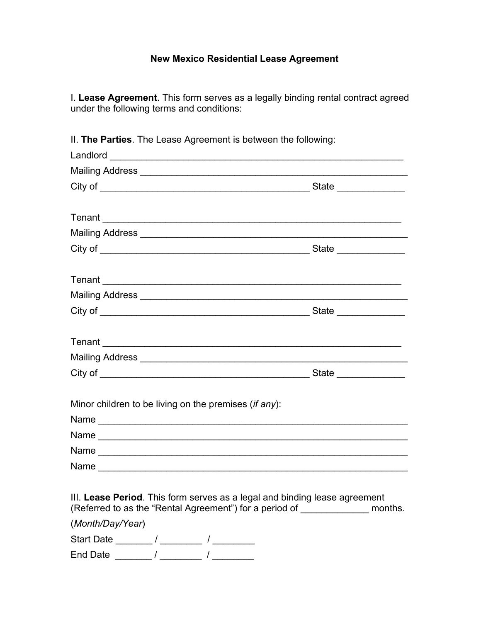### **New Mexico Residential Lease Agreement**

I. **Lease Agreement**. This form serves as a legally binding rental contract agreed under the following terms and conditions:

| II. The Parties. The Lease Agreement is between the following:                                                                                                 |  |
|----------------------------------------------------------------------------------------------------------------------------------------------------------------|--|
|                                                                                                                                                                |  |
|                                                                                                                                                                |  |
|                                                                                                                                                                |  |
|                                                                                                                                                                |  |
| Tenant                                                                                                                                                         |  |
|                                                                                                                                                                |  |
|                                                                                                                                                                |  |
|                                                                                                                                                                |  |
|                                                                                                                                                                |  |
|                                                                                                                                                                |  |
|                                                                                                                                                                |  |
|                                                                                                                                                                |  |
|                                                                                                                                                                |  |
|                                                                                                                                                                |  |
|                                                                                                                                                                |  |
| Minor children to be living on the premises (if any):                                                                                                          |  |
|                                                                                                                                                                |  |
|                                                                                                                                                                |  |
|                                                                                                                                                                |  |
|                                                                                                                                                                |  |
| III. Lease Period. This form serves as a legal and binding lease agreement<br>(Referred to as the "Rental Agreement") for a period of ________________ months. |  |
| (Month/Day/Year)                                                                                                                                               |  |
|                                                                                                                                                                |  |
|                                                                                                                                                                |  |

II. **The Parties**. The Lease Agreement is between the following: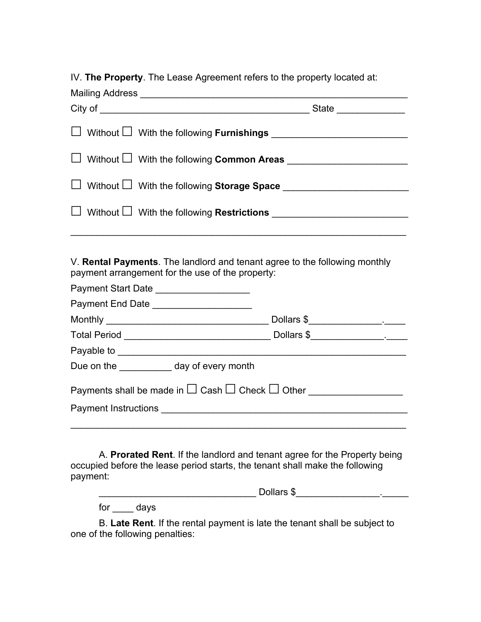IV. **The Property**. The Lease Agreement refers to the property located at:

| □ Without □ With the following Common Areas ___________________________________      |  |
|--------------------------------------------------------------------------------------|--|
| □ Without □ With the following Storage Space __________________________________      |  |
| □ Without □ With the following Restrictions ___________________________________      |  |
|                                                                                      |  |
| . V. Bandal Barnosanda . Tha bandhaid an dheiread anns a da tha fallarrin a neachbhr |  |

V. **Rental Payments**. The landlord and tenant agree to the following monthly payment arrangement for the use of the property:

| Payment Start Date _____________________                                                         |  |
|--------------------------------------------------------------------------------------------------|--|
| Payment End Date ______________________                                                          |  |
|                                                                                                  |  |
|                                                                                                  |  |
|                                                                                                  |  |
| Due on the day of every month                                                                    |  |
| Payments shall be made in $\square$ Cash $\square$ Check $\square$ Other _______________________ |  |
|                                                                                                  |  |
|                                                                                                  |  |
|                                                                                                  |  |

A. **Prorated Rent**. If the landlord and tenant agree for the Property being occupied before the lease period starts, the tenant shall make the following payment:

| Dollars \$ |  |
|------------|--|
|            |  |

for days

B. **Late Rent**. If the rental payment is late the tenant shall be subject to one of the following penalties: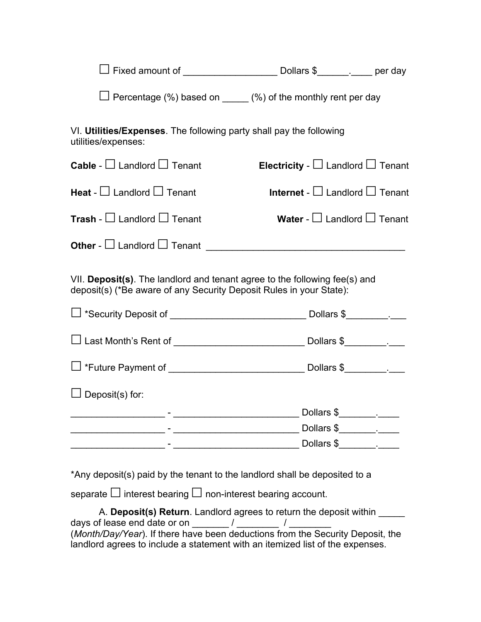| $\Box$ Fixed amount of | Dollars \$ | per day |
|------------------------|------------|---------|
|------------------------|------------|---------|

**☐** Percentage (%) based on \_\_\_\_\_ (%) of the monthly rent per day

VI. **Utilities/Expenses**. The following party shall pay the following utilities/expenses:

| <b>Cable</b> - $\Box$ Landlord $\Box$ Tenant                                                                                                      | Electricity - $\Box$ Landlord $\Box$ Tenant |
|---------------------------------------------------------------------------------------------------------------------------------------------------|---------------------------------------------|
| <b>Heat</b> - $\Box$ Landlord $\Box$ Tenant                                                                                                       | Internet - $\Box$ Landlord $\Box$ Tenant    |
| <b>Trash</b> - $\Box$ Landlord $\Box$ Tenant                                                                                                      | Water - $\Box$ Landlord $\Box$ Tenant       |
|                                                                                                                                                   |                                             |
| VII. Deposit(s). The landlord and tenant agree to the following fee(s) and<br>deposit(s) (*Be aware of any Security Deposit Rules in your State): |                                             |
|                                                                                                                                                   |                                             |
|                                                                                                                                                   |                                             |
|                                                                                                                                                   |                                             |
| $\Box$ Deposit(s) for:                                                                                                                            |                                             |
|                                                                                                                                                   |                                             |
|                                                                                                                                                   |                                             |
|                                                                                                                                                   |                                             |
|                                                                                                                                                   |                                             |

\*Any deposit(s) paid by the tenant to the landlord shall be deposited to a

separate □ interest bearing □ non-interest bearing account.

A. **Deposit(s) Return**. Landlord agrees to return the deposit within \_\_\_\_\_ days of lease end date or on  $\overline{a}$  /  $\overline{a}$  /  $\overline{a}$ (*Month/Day/Year*). If there have been deductions from the Security Deposit, the landlord agrees to include a statement with an itemized list of the expenses.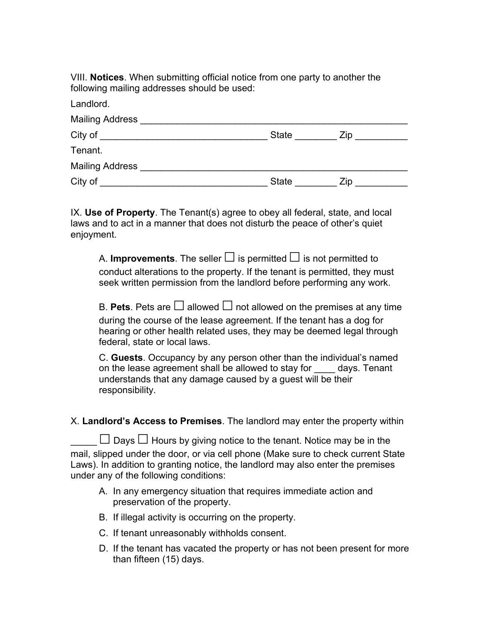VIII. **Notices**. When submitting official notice from one party to another the following mailing addresses should be used:

| Landlord.              |              |      |  |
|------------------------|--------------|------|--|
| Mailing Address        |              |      |  |
| City of                | <b>State</b> | Zip. |  |
| Tenant.                |              |      |  |
| <b>Mailing Address</b> |              |      |  |
| City of                | <b>State</b> | Zip. |  |

IX. **Use of Property**. The Tenant(s) agree to obey all federal, state, and local laws and to act in a manner that does not disturb the peace of other's quiet enjoyment.

A. **Improvements**. The seller  $\Box$  is permitted  $\Box$  is not permitted to conduct alterations to the property. If the tenant is permitted, they must seek written permission from the landlord before performing any work.

B. **Pets**. Pets are  $\Box$  allowed  $\Box$  not allowed on the premises at any time during the course of the lease agreement. If the tenant has a dog for hearing or other health related uses, they may be deemed legal through federal, state or local laws.

C. **Guests**. Occupancy by any person other than the individual's named on the lease agreement shall be allowed to stay for days. Tenant understands that any damage caused by a guest will be their responsibility.

X. **Landlord's Access to Premises**. The landlord may enter the property within

\_\_\_\_\_ **☐** Days **☐** Hours by giving notice to the tenant. Notice may be in the mail, slipped under the door, or via cell phone (Make sure to check current State Laws). In addition to granting notice, the landlord may also enter the premises under any of the following conditions:

- A. In any emergency situation that requires immediate action and preservation of the property.
- B. If illegal activity is occurring on the property.
- C. If tenant unreasonably withholds consent.
- D. If the tenant has vacated the property or has not been present for more than fifteen (15) days.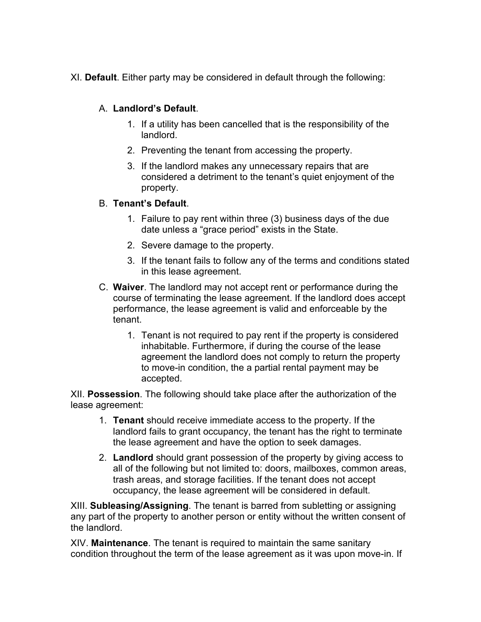XI. **Default**. Either party may be considered in default through the following:

#### A. **Landlord's Default**.

- 1. If a utility has been cancelled that is the responsibility of the landlord.
- 2. Preventing the tenant from accessing the property.
- 3. If the landlord makes any unnecessary repairs that are considered a detriment to the tenant's quiet enjoyment of the property.

#### B. **Tenant's Default**.

- 1. Failure to pay rent within three (3) business days of the due date unless a "grace period" exists in the State.
- 2. Severe damage to the property.
- 3. If the tenant fails to follow any of the terms and conditions stated in this lease agreement.
- C. **Waiver**. The landlord may not accept rent or performance during the course of terminating the lease agreement. If the landlord does accept performance, the lease agreement is valid and enforceable by the tenant.
	- 1. Tenant is not required to pay rent if the property is considered inhabitable. Furthermore, if during the course of the lease agreement the landlord does not comply to return the property to move-in condition, the a partial rental payment may be accepted.

XII. **Possession**. The following should take place after the authorization of the lease agreement:

- 1. **Tenant** should receive immediate access to the property. If the landlord fails to grant occupancy, the tenant has the right to terminate the lease agreement and have the option to seek damages.
- 2. **Landlord** should grant possession of the property by giving access to all of the following but not limited to: doors, mailboxes, common areas, trash areas, and storage facilities. If the tenant does not accept occupancy, the lease agreement will be considered in default.

XIII. **Subleasing/Assigning**. The tenant is barred from subletting or assigning any part of the property to another person or entity without the written consent of the landlord.

XIV. **Maintenance**. The tenant is required to maintain the same sanitary condition throughout the term of the lease agreement as it was upon move-in. If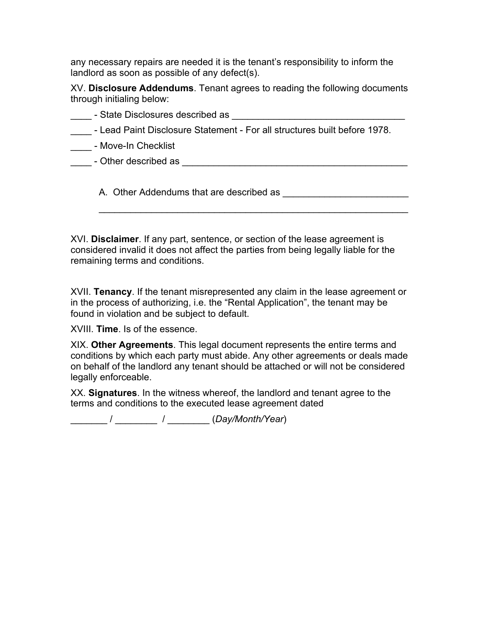any necessary repairs are needed it is the tenant's responsibility to inform the landlord as soon as possible of any defect(s).

XV. **Disclosure Addendums**. Tenant agrees to reading the following documents through initialing below:

- State Disclosures described as
- \_\_\_\_ Lead Paint Disclosure Statement For all structures built before 1978.
- \_\_\_\_ Move-In Checklist
- Other described as  $\overline{a}$

A. Other Addendums that are described as \_\_\_\_\_\_\_\_\_\_\_\_\_\_\_\_\_\_\_\_\_\_\_\_

XVI. **Disclaimer**. If any part, sentence, or section of the lease agreement is considered invalid it does not affect the parties from being legally liable for the remaining terms and conditions.

 $\mathcal{L}_\text{max}$  and  $\mathcal{L}_\text{max}$  and  $\mathcal{L}_\text{max}$  and  $\mathcal{L}_\text{max}$  and  $\mathcal{L}_\text{max}$  and  $\mathcal{L}_\text{max}$ 

XVII. **Tenancy**. If the tenant misrepresented any claim in the lease agreement or in the process of authorizing, i.e. the "Rental Application", the tenant may be found in violation and be subject to default.

XVIII. **Time**. Is of the essence.

XIX. **Other Agreements**. This legal document represents the entire terms and conditions by which each party must abide. Any other agreements or deals made on behalf of the landlord any tenant should be attached or will not be considered legally enforceable.

XX. **Signatures**. In the witness whereof, the landlord and tenant agree to the terms and conditions to the executed lease agreement dated

\_\_\_\_\_\_\_ / \_\_\_\_\_\_\_\_ / \_\_\_\_\_\_\_\_ (*Day/Month/Year*)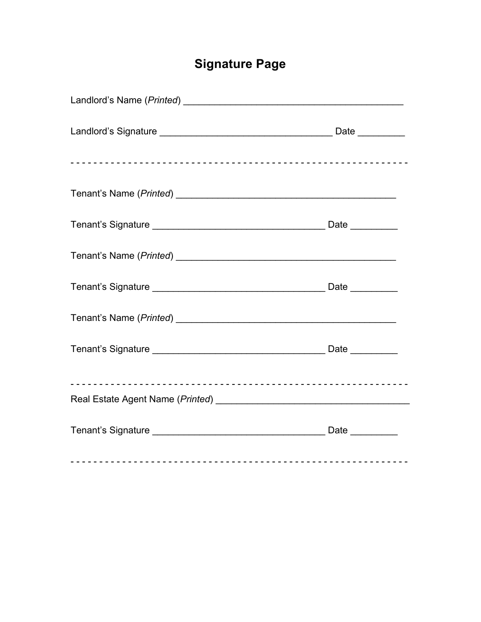# **Signature Page**